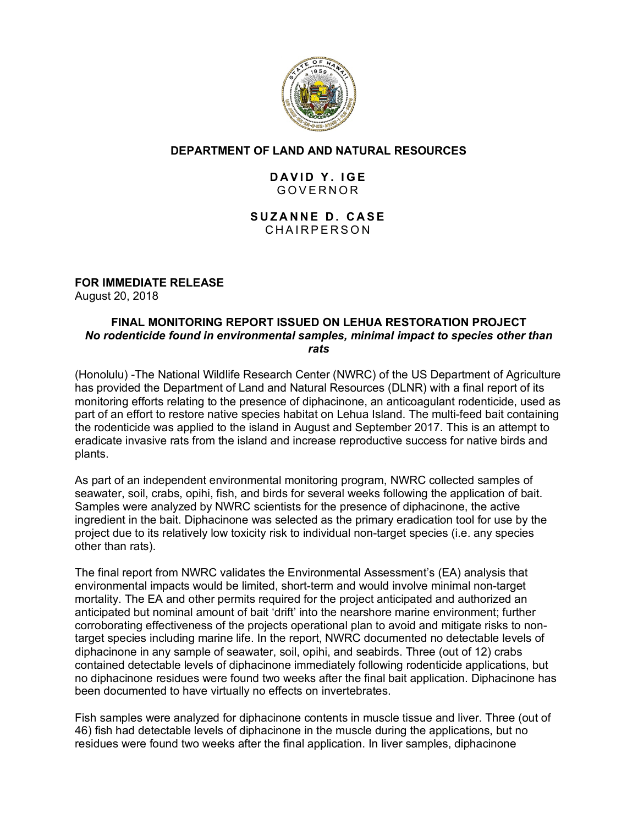

# **DEPARTMENT OF LAND AND NATURAL RESOURCES**

# **DAVID Y. IGE** GOVERNOR

## **SUZANNE D. CASE** CHAIRPERSON

## **FOR IMMEDIATE RELEASE**

August 20, 2018

#### **FINAL MONITORING REPORT ISSUED ON LEHUA RESTORATION PROJECT** *No rodenticide found in environmental samples, minimal impact to species other than rats*

(Honolulu) -The National Wildlife Research Center (NWRC) of the US Department of Agriculture has provided the Department of Land and Natural Resources (DLNR) with a final report of its monitoring efforts relating to the presence of diphacinone, an anticoagulant rodenticide, used as part of an effort to restore native species habitat on Lehua Island. The multi-feed bait containing the rodenticide was applied to the island in August and September 2017. This is an attempt to eradicate invasive rats from the island and increase reproductive success for native birds and plants.

As part of an independent environmental monitoring program, NWRC collected samples of seawater, soil, crabs, opihi, fish, and birds for several weeks following the application of bait. Samples were analyzed by NWRC scientists for the presence of diphacinone, the active ingredient in the bait. Diphacinone was selected as the primary eradication tool for use by the project due to its relatively low toxicity risk to individual non-target species (i.e. any species other than rats).

The final report from NWRC validates the Environmental Assessment's (EA) analysis that environmental impacts would be limited, short-term and would involve minimal non-target mortality. The EA and other permits required for the project anticipated and authorized an anticipated but nominal amount of bait 'drift' into the nearshore marine environment; further corroborating effectiveness of the projects operational plan to avoid and mitigate risks to nontarget species including marine life. In the report, NWRC documented no detectable levels of diphacinone in any sample of seawater, soil, opihi, and seabirds. Three (out of 12) crabs contained detectable levels of diphacinone immediately following rodenticide applications, but no diphacinone residues were found two weeks after the final bait application. Diphacinone has been documented to have virtually no effects on invertebrates.

Fish samples were analyzed for diphacinone contents in muscle tissue and liver. Three (out of 46) fish had detectable levels of diphacinone in the muscle during the applications, but no residues were found two weeks after the final application. In liver samples, diphacinone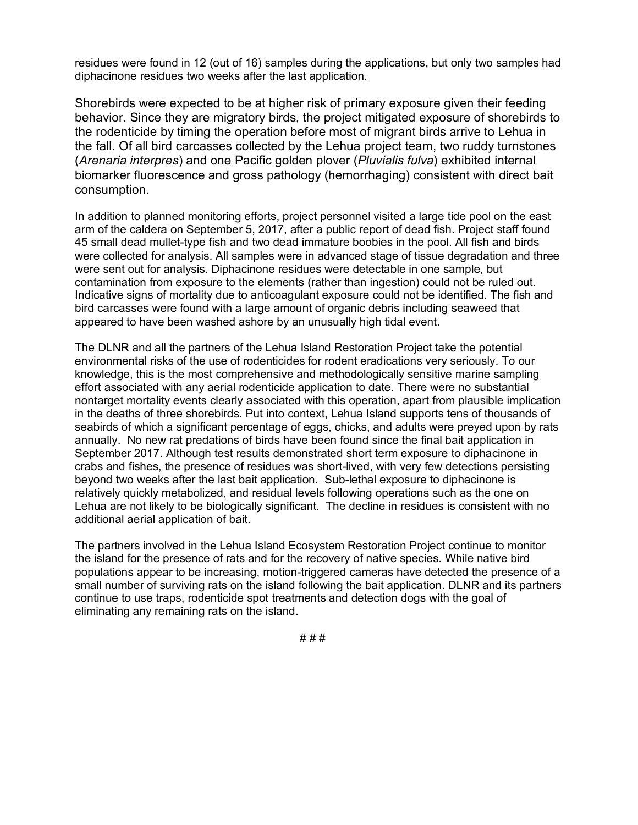residues were found in 12 (out of 16) samples during the applications, but only two samples had diphacinone residues two weeks after the last application.

Shorebirds were expected to be at higher risk of primary exposure given their feeding behavior. Since they are migratory birds, the project mitigated exposure of shorebirds to the rodenticide by timing the operation before most of migrant birds arrive to Lehua in the fall. Of all bird carcasses collected by the Lehua project team, two ruddy turnstones (*Arenaria interpres*) and one Pacific golden plover (*Pluvialis fulva*) exhibited internal biomarker fluorescence and gross pathology (hemorrhaging) consistent with direct bait consumption.

In addition to planned monitoring efforts, project personnel visited a large tide pool on the east arm of the caldera on September 5, 2017, after a public report of dead fish. Project staff found 45 small dead mullet-type fish and two dead immature boobies in the pool. All fish and birds were collected for analysis. All samples were in advanced stage of tissue degradation and three were sent out for analysis. Diphacinone residues were detectable in one sample, but contamination from exposure to the elements (rather than ingestion) could not be ruled out. Indicative signs of mortality due to anticoagulant exposure could not be identified. The fish and bird carcasses were found with a large amount of organic debris including seaweed that appeared to have been washed ashore by an unusually high tidal event.

The DLNR and all the partners of the Lehua Island Restoration Project take the potential environmental risks of the use of rodenticides for rodent eradications very seriously. To our knowledge, this is the most comprehensive and methodologically sensitive marine sampling effort associated with any aerial rodenticide application to date. There were no substantial nontarget mortality events clearly associated with this operation, apart from plausible implication in the deaths of three shorebirds. Put into context, Lehua Island supports tens of thousands of seabirds of which a significant percentage of eggs, chicks, and adults were preyed upon by rats annually. No new rat predations of birds have been found since the final bait application in September 2017. Although test results demonstrated short term exposure to diphacinone in crabs and fishes, the presence of residues was short-lived, with very few detections persisting beyond two weeks after the last bait application. Sub-lethal exposure to diphacinone is relatively quickly metabolized, and residual levels following operations such as the one on Lehua are not likely to be biologically significant. The decline in residues is consistent with no additional aerial application of bait.

The partners involved in the Lehua Island Ecosystem Restoration Project continue to monitor the island for the presence of rats and for the recovery of native species. While native bird populations appear to be increasing, motion-triggered cameras have detected the presence of a small number of surviving rats on the island following the bait application. DLNR and its partners continue to use traps, rodenticide spot treatments and detection dogs with the goal of eliminating any remaining rats on the island.

# # #